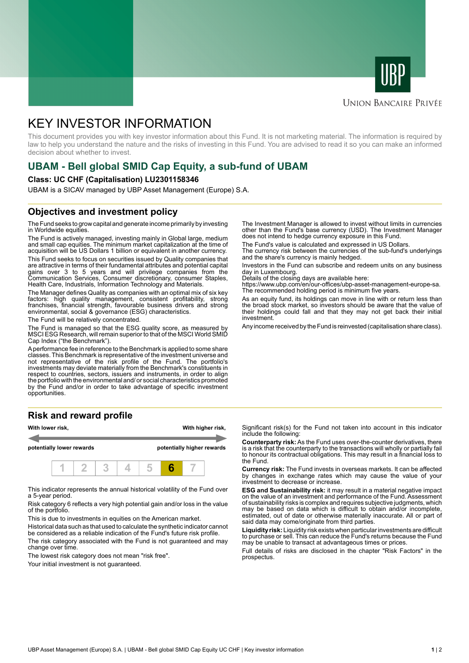



#### **UNION BANCAIRE PRIVÉE**

# KEY INVESTOR INFORMATION

This document provides you with key investor information about this Fund. It is not marketing material. The information is required by law to help you understand the nature and the risks of investing in this Fund. You are advised to read it so you can make an informed decision about whether to invest.

## **UBAM - Bell global SMID Cap Equity, a sub-fund of UBAM**

#### **Class: UC CHF (Capitalisation) LU2301158346**

UBAM is a SICAV managed by UBP Asset Management (Europe) S.A.

### **Objectives and investment policy**

The Fund seeks to grow capital and generate income primarily by investing in Worldwide equities.

The Fund is actively managed, investing mainly in Global large, medium and small cap equities. The minimum market capitalization at the time of acquisition will be US Dollars 1 billion or equivalent in another currency.

This Fund seeks to focus on securities issued by Quality companies that are attractive in terms of their fundamental attributes and potential capital gains over 3 to 5 years and will privilege companies from the Communication Services, Consumer discretionary, consumer Staples, Health Care, Industrials, Information Technology and Materials.

The Manager defines Quality as companies with an optimal mix of six key factors: high quality management, consistent profitability, strong franchises, financial strength, favourable business drivers and strong environmental, social & governance (ESG) characteristics.

The Fund will be relatively concentrated.

The Fund is managed so that the ESG quality score, as measured by MSCI ESG Research, will remain superior to that of the MSCI World SMID Cap Index ("the Benchmark").

A performance fee in reference to the Benchmark is applied to some share classes. This Benchmark is representative of the investment universe and not representative of the risk profile of the Fund. The portfolio's investments may deviate materially from the Benchmark's constituents in respect to countries, sectors, issuers and instruments, in order to align the portfolio with the environmental and/ or social characteristics promoted by the Fund and/or in order to take advantage of specific investment opportunities.

#### **Risk and reward profile**



This indicator represents the annual historical volatility of the Fund over a 5-year period.

Risk category 6 reflects a very high potential gain and/or loss in the value of the portfolio.

This is due to investments in equities on the American market.

Historical data such as that used to calculate the synthetic indicator cannot be considered as a reliable indication of the Fund's future risk profile.

The risk category associated with the Fund is not guaranteed and may change over time.

The lowest risk category does not mean "risk free".

Your initial investment is not quaranteed.

The Investment Manager is allowed to invest without limits in currencies other than the Fund's base currency (USD). The Investment Manager does not intend to hedge currency exposure in this Fund.

The Fund's value is calculated and expressed in US Dollars.

The currency risk between the currencies of the sub-fund's underlyings and the share's currency is mainly hedged.

Investors in the Fund can subscribe and redeem units on any business day in Luxembourg.

Details of the closing days are available here:

https://www.ubp.com/en/our-offices/ubp-asset-management-europe-sa. The recommended holding period is minimum five years.

As an equity fund, its holdings can move in line with or return less than the broad stock market, so investors should be aware that the value of their holdings could fall and that they may not get back their initial investment.

Any income received by the Fund is reinvested (capitalisation share class).

Significant risk(s) for the Fund not taken into account in this indicator include the following:

**Counterparty risk:** As the Fund uses over-the-counter derivatives, there is a risk that the counterparty to the transactions will wholly or partially fail to honour its contractual obligations. This may result in a financial loss to the Fund.

**Currency risk:** The Fund invests in overseas markets. It can be affected by changes in exchange rates which may cause the value of your investment to decrease or increase.

**ESG and Sustainability risk:** it may result in a material negative impact on the value of an investment and performance of the Fund. Assessment of sustainability risks is complex and requires subjective judgments, which may be based on data which is difficult to obtain and/or incomplete, estimated, out of date or otherwise materially inaccurate. All or part of said data may come/originate from third parties.

**Liquidity risk:** Liquidity risk exists when particular investments are difficult to purchase or sell. This can reduce the Fund's returns because the Fund may be unable to transact at advantageous times or prices.

Full details of risks are disclosed in the chapter "Risk Factors" in the prospectus.